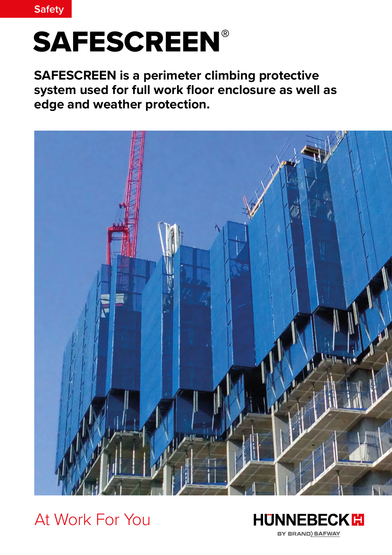

# **SAFESCREEN®**

**SAFESCREEN is a perimeter climbing protective system used for full work floor enclosure as well as edge and weather protection.**



At Work For You

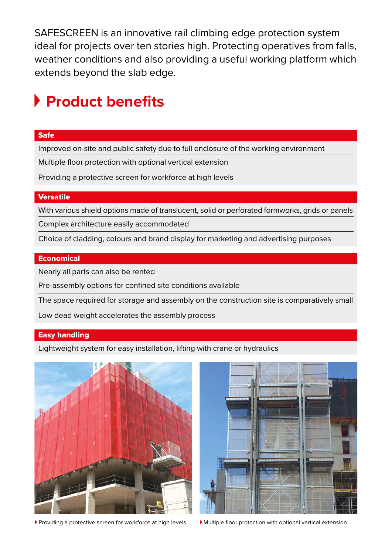SAFESCREEN is an innovative rail climbing edge protection system ideal for projects over ten stories high. Protecting operatives from falls, weather conditions and also providing a useful working platform which extends beyond the slab edge.

### **Product benefits**

#### Safe

Improved on-site and public safety due to full enclosure of the working environment

Multiple floor protection with optional vertical extension

Providing a protective screen for workforce at high levels

#### Versatile

With various shield options made of translucent, solid or perforated formworks, grids or panels

Complex architecture easily accommodated

Choice of cladding, colours and brand display for marketing and advertising purposes

#### **Economical**

Nearly all parts can also be rented

Pre-assembly options for confined site conditions available

The space required for storage and assembly on the construction site is comparatively small

Low dead weight accelerates the assembly process

#### Easy handling

Lightweight system for easy installation, lifting with crane or hydraulics



Providing a protective screen for workforce at high levels <br>Multiple floor protection with optional vertical extension

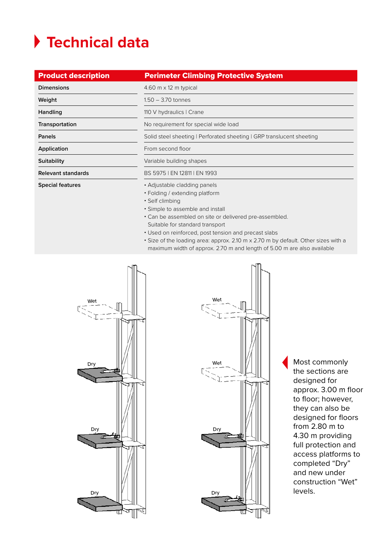## **Technical data**

| <b>Product description</b> | <b>Perimeter Climbing Protective System</b>                                                                                                                                                                                                                                                                                                                                                                                                 |
|----------------------------|---------------------------------------------------------------------------------------------------------------------------------------------------------------------------------------------------------------------------------------------------------------------------------------------------------------------------------------------------------------------------------------------------------------------------------------------|
| <b>Dimensions</b>          | 4.60 $m \times 12$ m typical                                                                                                                                                                                                                                                                                                                                                                                                                |
| Weight                     | $1.50 - 3.70$ tonnes                                                                                                                                                                                                                                                                                                                                                                                                                        |
| Handling                   | 110 V hydraulics   Crane                                                                                                                                                                                                                                                                                                                                                                                                                    |
| Transportation             | No requirement for special wide load                                                                                                                                                                                                                                                                                                                                                                                                        |
| Panels                     | Solid steel sheeting   Perforated sheeting   GRP translucent sheeting                                                                                                                                                                                                                                                                                                                                                                       |
| Application                | From second floor                                                                                                                                                                                                                                                                                                                                                                                                                           |
| <b>Suitability</b>         | Variable building shapes                                                                                                                                                                                                                                                                                                                                                                                                                    |
| Relevant standards         | BS 5975 LEN 12811 LEN 1993                                                                                                                                                                                                                                                                                                                                                                                                                  |
| <b>Special features</b>    | • Adjustable cladding panels<br>• Folding / extending platform<br>• Self climbing<br>• Simple to assemble and install<br>• Can be assembled on site or delivered pre-assembled.<br>Suitable for standard transport<br>• Used on reinforced, post tension and precast slabs<br>• Size of the loading area: approx. 2.10 m x 2.70 m by default. Other sizes with a<br>maximum width of approx. 2.70 m and length of 5.00 m are also available |





Most commonly the sections are designed for approx. 3.00 m floor to floor; however, they can also be designed for floors from 2.80 m to 4.30 m providing full protection and access platforms to completed "Dry" and new under construction "Wet" levels.